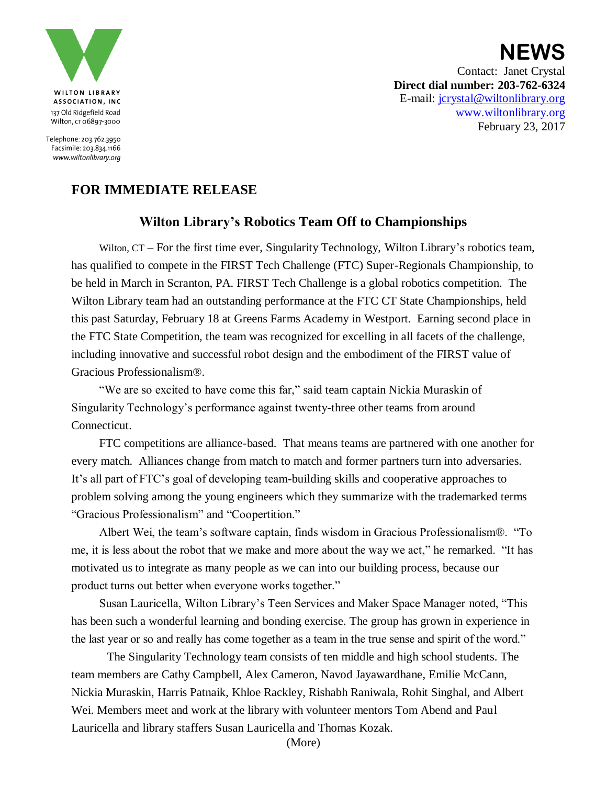

Telephone: 203.762.3950 Facsimile: 203.834.1166 www.wiltonlibrary.org

**NEWS** Contact: Janet Crystal **Direct dial number: 203-762-6324** E-mail: [jcrystal@wiltonlibrary.org](mailto:jcrystal@wiltonlibrary.org) [www.wiltonlibrary.org](http://www.wiltonlibrary.org/) February 23, 2017

## **FOR IMMEDIATE RELEASE**

## **Wilton Library's Robotics Team Off to Championships**

Wilton, CT – For the first time ever, Singularity Technology, Wilton Library's robotics team, has qualified to compete in the FIRST Tech Challenge (FTC) Super-Regionals Championship, to be held in March in Scranton, PA. FIRST Tech Challenge is a global robotics competition. The Wilton Library team had an outstanding performance at the FTC CT State Championships, held this past Saturday, February 18 at Greens Farms Academy in Westport. Earning second place in the FTC State Competition, the team was recognized for excelling in all facets of the challenge, including innovative and successful robot design and the embodiment of the FIRST value of Gracious Professionalism®.

"We are so excited to have come this far," said team captain Nickia Muraskin of Singularity Technology's performance against twenty-three other teams from around Connecticut.

FTC competitions are alliance-based. That means teams are partnered with one another for every match. Alliances change from match to match and former partners turn into adversaries. It's all part of FTC's goal of developing team-building skills and cooperative approaches to problem solving among the young engineers which they summarize with the trademarked terms "Gracious Professionalism" and "Coopertition."

Albert Wei, the team's software captain, finds wisdom in Gracious Professionalism®. "To me, it is less about the robot that we make and more about the way we act," he remarked. "It has motivated us to integrate as many people as we can into our building process, because our product turns out better when everyone works together."

Susan Lauricella, Wilton Library's Teen Services and Maker Space Manager noted, "This has been such a wonderful learning and bonding exercise. The group has grown in experience in the last year or so and really has come together as a team in the true sense and spirit of the word."

The Singularity Technology team consists of ten middle and high school students. The team members are Cathy Campbell, Alex Cameron, Navod Jayawardhane, Emilie McCann, Nickia Muraskin, Harris Patnaik, Khloe Rackley, Rishabh Raniwala, Rohit Singhal, and Albert Wei. Members meet and work at the library with volunteer mentors Tom Abend and Paul Lauricella and library staffers Susan Lauricella and Thomas Kozak.

(More)